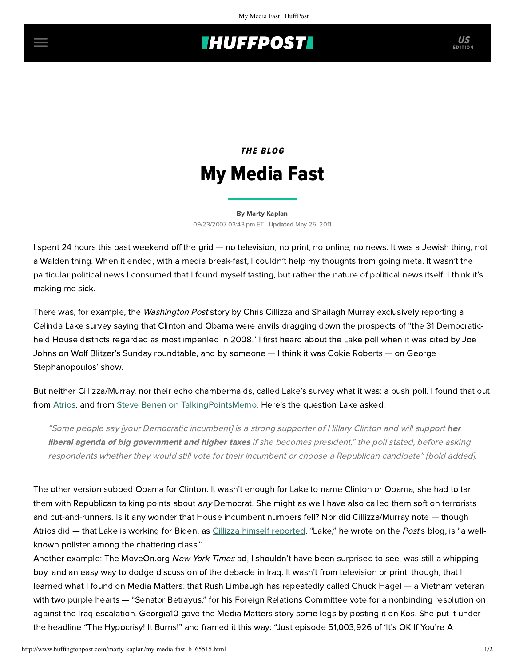# **INUFFPOST**

# THE BLOG My Media Fast

### [By Marty Kaplan](http://www.huffingtonpost.com/author/marty-kaplan) 09/23/2007 03:43 pm ET | Updated May 25, 2011

I spent 24 hours this past weekend off the grid — no television, no print, no online, no news. It was a Jewish thing, not a Walden thing. When it ended, with a media break-fast, I couldn't help my thoughts from going meta. It wasn't the particular political news I consumed that I found myself tasting, but rather the nature of political news itself. I think it's making me sick.

There was, for example, the *[Washington Post](http://www.washingtonpost.com/wp-dyn/content/article/2007/09/22/AR2007092201024.html)* story by Chris Cillizza and Shailagh Murray exclusively reporting a Celinda Lake survey saying that Clinton and Obama were anvils dragging down the prospects of "the 31 Democraticheld House districts regarded as most imperiled in 2008." I first heard about the Lake poll when it was cited by Joe Johns on Wolf Blitzer's Sunday roundtable, and by someone — I think it was Cokie Roberts — on George Stephanopoulos' show.

But neither Cillizza/Murray, nor their echo chambermaids, called Lake's survey what it was: a push poll. I found that out from [Atrios](http://atrios.blogspot.com/2007_09_23_archive.html#5453881410600858739), and from [Steve Benen on TalkingPointsMemo.](http://talkingpointsmemo.com/archives/053946.php) Here's the question Lake asked:

"Some people say [your Democratic incumbent] is a strong supporter of Hillary Clinton and will support her liberal agenda of big government and higher taxes if she becomes president," the poll stated, before asking respondents whether they would still vote for their incumbent or choose a Republican candidate" [bold added].

The other version subbed Obama for Clinton. It wasn't enough for Lake to name Clinton or Obama; she had to tar them with Republican talking points about any Democrat. She might as well have also called them soft on terrorists and cut-and-runners. Is it any wonder that House incumbent numbers fell? Nor did Cillizza/Murray note — though Atrios did — that Lake is working for Biden, as [Cillizza himself reported.](http://blog.washingtonpost.com/thefix/2007/01/bidens_hiring_continues.html) "Lake," he wrote on the Post's blog, is "a wellknown pollster among the chattering class."

Another example: The MoveOn.org New York Times ad, I shouldn't have been surprised to see, was still a whipping boy, and an easy way to dodge discussion of the debacle in Iraq. It wasn't from television or print, though, that I learned what I found on [Media Matters:](http://mediamatters.org/items/200709220003) that Rush Limbaugh has repeatedly called Chuck Hagel — a Vietnam veteran with two purple hearts — "Senator Betrayus," for his Foreign Relations Committee vote for a nonbinding resolution on against the Iraq escalation. Georgia10 gave the Media Matters story some legs by posting it on [Kos](http://www.dailykos.com/storyonly/2007/9/23/23220/3999). She put it under the headline "The Hypocrisy! It Burns!" and framed it this way: "Just episode 51,003,926 of 'It's OK If You're A